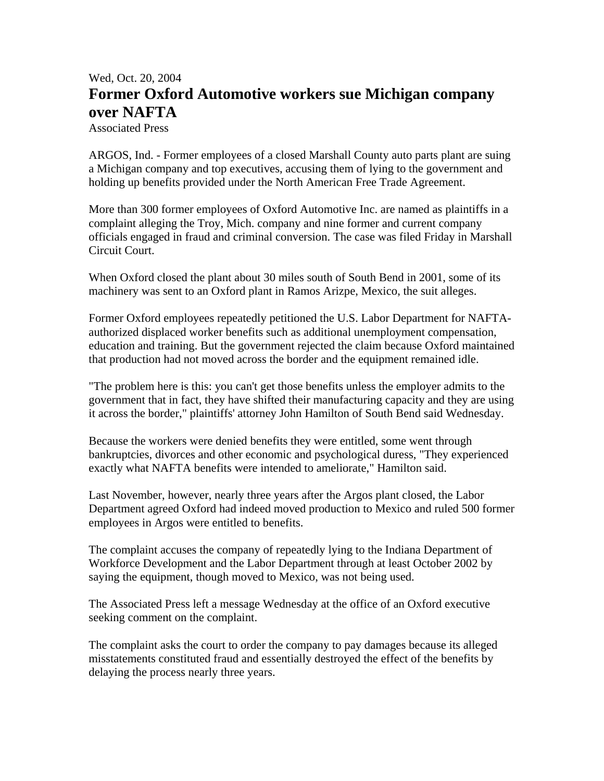## Wed, Oct. 20, 2004 **Former Oxford Automotive workers sue Michigan company over NAFTA**

Associated Press

ARGOS, Ind. - Former employees of a closed Marshall County auto parts plant are suing a Michigan company and top executives, accusing them of lying to the government and holding up benefits provided under the North American Free Trade Agreement.

More than 300 former employees of Oxford Automotive Inc. are named as plaintiffs in a complaint alleging the Troy, Mich. company and nine former and current company officials engaged in fraud and criminal conversion. The case was filed Friday in Marshall Circuit Court.

When Oxford closed the plant about 30 miles south of South Bend in 2001, some of its machinery was sent to an Oxford plant in Ramos Arizpe, Mexico, the suit alleges.

Former Oxford employees repeatedly petitioned the U.S. Labor Department for NAFTAauthorized displaced worker benefits such as additional unemployment compensation, education and training. But the government rejected the claim because Oxford maintained that production had not moved across the border and the equipment remained idle.

"The problem here is this: you can't get those benefits unless the employer admits to the government that in fact, they have shifted their manufacturing capacity and they are using it across the border," plaintiffs' attorney John Hamilton of South Bend said Wednesday.

Because the workers were denied benefits they were entitled, some went through bankruptcies, divorces and other economic and psychological duress, "They experienced exactly what NAFTA benefits were intended to ameliorate," Hamilton said.

Last November, however, nearly three years after the Argos plant closed, the Labor Department agreed Oxford had indeed moved production to Mexico and ruled 500 former employees in Argos were entitled to benefits.

The complaint accuses the company of repeatedly lying to the Indiana Department of Workforce Development and the Labor Department through at least October 2002 by saying the equipment, though moved to Mexico, was not being used.

The Associated Press left a message Wednesday at the office of an Oxford executive seeking comment on the complaint.

The complaint asks the court to order the company to pay damages because its alleged misstatements constituted fraud and essentially destroyed the effect of the benefits by delaying the process nearly three years.